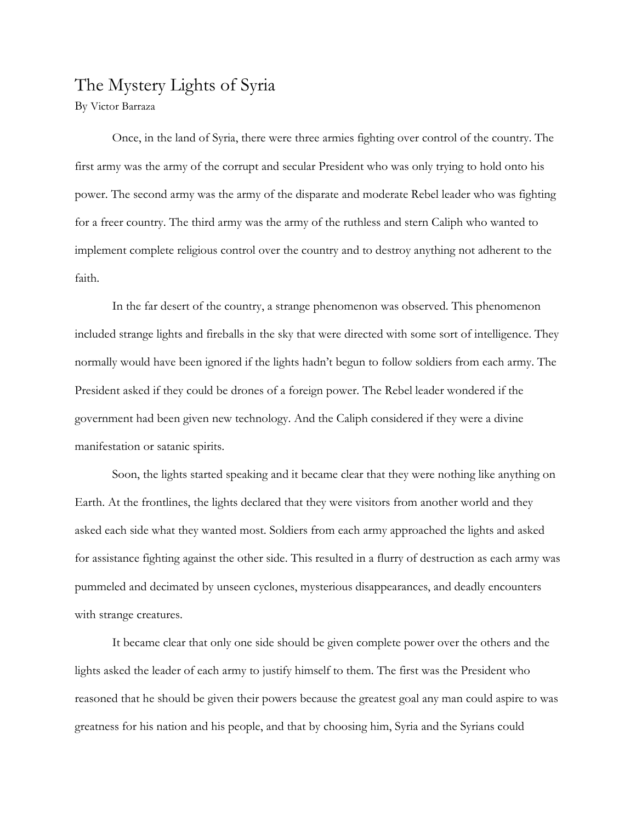## The Mystery Lights of Syria

By Victor Barraza

Once, in the land of Syria, there were three armies fighting over control of the country. The first army was the army of the corrupt and secular President who was only trying to hold onto his power. The second army was the army of the disparate and moderate Rebel leader who was fighting for a freer country. The third army was the army of the ruthless and stern Caliph who wanted to implement complete religious control over the country and to destroy anything not adherent to the faith.

In the far desert of the country, a strange phenomenon was observed. This phenomenon included strange lights and fireballs in the sky that were directed with some sort of intelligence. They normally would have been ignored if the lights hadn't begun to follow soldiers from each army. The President asked if they could be drones of a foreign power. The Rebel leader wondered if the government had been given new technology. And the Caliph considered if they were a divine manifestation or satanic spirits.

Soon, the lights started speaking and it became clear that they were nothing like anything on Earth. At the frontlines, the lights declared that they were visitors from another world and they asked each side what they wanted most. Soldiers from each army approached the lights and asked for assistance fighting against the other side. This resulted in a flurry of destruction as each army was pummeled and decimated by unseen cyclones, mysterious disappearances, and deadly encounters with strange creatures.

It became clear that only one side should be given complete power over the others and the lights asked the leader of each army to justify himself to them. The first was the President who reasoned that he should be given their powers because the greatest goal any man could aspire to was greatness for his nation and his people, and that by choosing him, Syria and the Syrians could